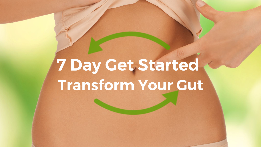# **Transform Your Gut 7 Day Get Started**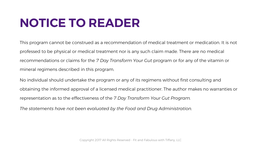## **NOTICE TO READER**

This program cannot be construed as a recommendation of medical treatment or medication. It is not professed to be physical or medical treatment nor is any such claim made. There are no medical recommendations or claims for the *7 Day Transform Your Gut* program or for any of the vitamin or mineral regimens described in this program.

No individual should undertake the program or any of its regimens without first consulting and obtaining the informed approval of a licensed medical practitioner. The author makes no warranties or representation as to the effectiveness of the *7 Day Transform Your Gut Program.*

*The statements have not been evaluated by the Food and Drug Administration.*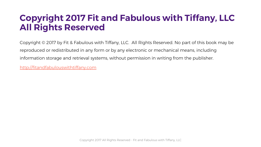#### **Copyright 2017 Fit and Fabulous with Tiffany, LLC All Rights Reserved**

Copyright © 2017 by Fit & Fabulous with Tiffany, LLC. All Rights Reserved. No part of this book may be reproduced or redistributed in any form or by any electronic or mechanical means, including information storage and retrieval systems, without permission in writing from the publisher.

<http://fitandfabulouswithtiffany.com>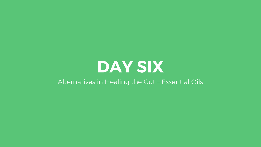# **DAY SIX**

#### Alternatives in Healing the Gut – Essential Oils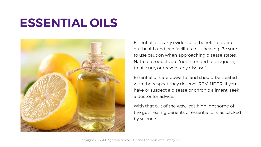## **ESSENTIAL OILS**



Essential oils carry evidence of benefit to overall gut health and can facilitate gut healing. Be sure to use caution when approaching disease states. Natural products are "not intended to diagnose, treat, cure, or prevent any disease."

Essential oils are powerful and should be treated with the respect they deserve. REMINDER: If you have or suspect a disease or chronic ailment, seek a doctor for advice.

With that out of the way, let's highlight some of the gut healing benefits of essential oils, as backed by science.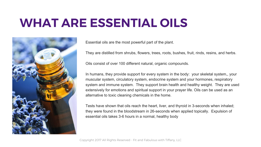#### **WHAT ARE ESSENTIAL OILS**



Essential oils are the most powerful part of the plant.

They are distilled from shrubs, flowers, trees, roots, bushes, fruit, rinds, resins, and herbs.

Oils consist of over 100 different natural, organic compounds.

In humans, they provide support for every system in the body: your skeletal system,, your muscular system, circulatory system, endocrine system and your hormones, respiratory system and immune system. They support brain health and healthy weight. They are used extensively for emotions and spiritual support in your prayer life. Oils can be used as an alternative to toxic cleaning chemicals in the home.

Tests have shown that oils reach the heart, liver, and thyroid in 3-seconds when inhaled; they were found in the bloodstream in 26-seconds when applied topically. Expulsion of essential oils takes 3-6 hours in a normal, healthy body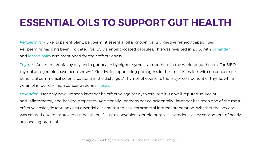#### **ESSENTIAL OILS TO SUPPORT GUT HEALTH**

*Peppermint –* Like its parent plant, peppermint essential oil is known for its digestive remedy capabilities. Peppermint has long been indicated for IBS via enteric-coated capsules. This was revisited in 2013, with coriander and lemon balm also mentioned for their effectiveness.

*Thyme –* An antimicrobial by day and a gut healer by night, thyme is a superhero in the world of gut health. For SIBO, thymol and geraniol have been shown "effective in suppressing pathogens in the small intestine, with no concern for beneficial commensal colonic bacteria in the distal gut." Thymol, of course, is the major component of thyme, while geraniol is found in high concentrations in rose oil.

*Lavender –* Not only have we seen lavender be effective against dysbiosis, but it is a well-reputed source of anti-inflammatory and healing properties. Additionally—perhaps not coincidentally—lavender has been one of the most effective anxiolytic (anti-anxiety) essential oils and tested as a commercial internal preparation. Whether the anxiety was calmed due to improved gut health or it's just a convenient double purpose, lavender is a key component of nearly any healing protocol.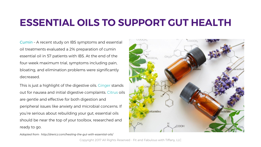#### **ESSENTIAL OILS TO SUPPORT GUT HEALTH**

*Cumin –* A recent study on IBS symptoms and essential oil treatments evaluated a 2% preparation of cumin essential oil in 57 patients with IBS. At the end of the four-week maximum trial, symptoms including pain, bloating, and elimination problems were significantly decreased.

This is just a highlight of the digestive oils. Ginger stands out for nausea and initial digestive complaints. Citrus oils are gentle and effective for both digestion and peripheral issues like anxiety and microbial concerns. If you're serious about rebuilding your gut, essential oils should be near the top of your toolbox, researched and ready to go.

CH<sub>3</sub> COCH. cotamine hetrine "COOH

*Adapted from: http://drericz.com/healing-the-gut-with-essential-oils/*

Copyright 2017 All Rights Reserved - Fit and Fabulous with Tiffany, LLC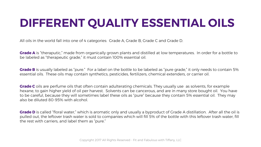### **DIFFERENT QUALITY ESSENTIAL OILS**

All oils in the world fall into one of 4 categories: Grade A, Grade B, Grade C and Grade D.

**Grade A** is "theraputic," made from organically grown plants and distilled at low temperatures. In order for a bottle to be labeled as "therapeutic grade," it must contain 100% essential oil.

**Grade B** is usually labeled as "pure." For a label on the bottle to be labeled as "pure grade," it only needs to contain 5% essential oils. These oils may contain synthetics, pesticides, fertilizers, chemical extenders, or carrier oil.

**Grade C** oils are perfume oils that often contain adulterating chemicals. They usually use as solvents, for example hexane, to gain higher yield of oil per harvest. Solvents can be cancerous, and are in many store bought oil. You have to be careful, because they will sometimes label these oils as "pure" because they contain 5% essential oil. They may also be diluted 80-95% with alcohol.

**Grade D** is called "floral water," which is aromatic only and usually a byproduct of Grade A distillation. After all the oil is pulled out, the leftover trash water is sold to companies which will fill 5% of the bottle with this leftover trash water, fill the rest with carriers, and label them as "pure."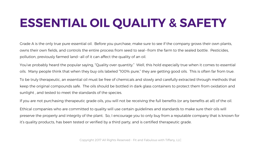# **ESSENTIAL OIL QUALITY & SAFETY**

Grade A is the only true pure essential oil. Before you purchase, make sure to see if the company grows their own plants, owns their own fields, and controls the entire process from seed to seal--from the farm to the sealed bottle. Pesticides, pollution, previously farmed land--all of it can affect the quality of an oil.

You've probably heard the popular saying, "Quality over quantity." Well, this hold especially true when it comes to essential oils. Many people think that when they buy oils labeled "100% pure," they are getting good oils. This is often far from true.

To be truly therapeutic, an essential oil must be free of chemicals and slowly and carefully extracted through methods that keep the original compounds safe. The oils should be bottled in dark glass containers to protect them from oxidation and sunlight , and tested to meet the standards of the species.

If you are not purchasing therapeutic grade oils, you will not be receiving the full benefits (or any benefits at all) of the oil.

Ethical companies who are committed to quality will use certain guidelines and standards to make sure their oils will preserve the property and integrity of the plant. So, I encourage you to only buy from a reputable company that is known for it's quality products, has been tested or verified by a third party, and is certified therapeutic grade.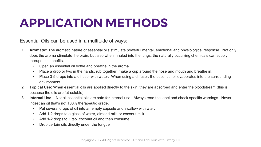## **APPLICATION METHODS**

Essential Oils can be used in a multitude of ways:

- 1. **Aromatic:** The aromatic nature of essential oils stimulate powerful mental, emotional and physiological response. Not only does the aroma stimulate the brain, but also when inhaled into the lungs, the naturally occurring chemicals can supply therapeutic benefits.
	- Open an essential oil bottle and breathe in the aroma.
	- Place a drop or two in the hands, rub together, make a cup around the nose and mouth and breathe in.
	- Place 3-5 drops into a diffuser with water. When using a diffuser, the essential oil evaporates into the surrounding environment.
- 2. **Topical Use:** When essential oils are applied directly to the skin, they are absorbed and enter the bloodstream (this is because the oils are fat-soluble).
- 3. **Internal Use:** Not all essential oils are safe for internal use! Always read the label and check specific warnings. Never ingest an oil that's not 100% therapeutic grade.
	- Put several drops of oil into an empty capsule and swallow with wter.
	- Add 1-2 drops to a glass of water, almond milk or coconut milk.
	- Add 1-2 drops to 1 tsp. coconut oil and then consume.
	- Drop certain oils directly under the tongue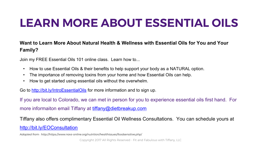#### **LEARN MORE ABOUT ESSENTIAL OILS**

#### **Want to Learn More About Natural Health & Wellness with Essential Oils for You and Your Family?**

Join my FREE Essential Oils 101 online class. Learn how to...

- How to use Essential Oils & their benefits to help support your body as a NATURAL option.
- The importance of removing toxins from your home and how Essential Oils can help.
- How to get started using essential oils without the overwhelm.

Go to<http://bit.ly/IntroEssentialOils> for more information and to sign up.

If you are local to Colorado, we can met in person for you to experience essential oils first hand. For more informaiton email Tiffany at [tiffany@dietbreakup.com](mailto:tiffany@dietbreakup.com)

Tiffany also offers complimentary Essential Oil Wellness Consultations. You can schedule yours at <http://bit.ly/EOConsultation>

*Adapted from: http://https://www.navs-online.org/nutrition/healthissues/foodsensitive.php/*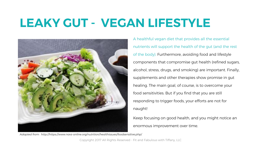### **LEAKY GUT - VEGAN LIFESTYLE**



A healthful vegan diet that provides all the essential nutrients will support the health of the gut (and the rest of the body). Furthermore, avoiding food and lifestyle components that compromise gut health (refined sugars, alcohol, stress, drugs, and smoking) are important. Finally, supplements and other therapies show promise in gut healing. The main goal, of course, is to overcome your food sensitivities. But if you find that you are still responding to trigger foods, your efforts are not for naught!

Keep focusing on good health, and you might notice an enormous improvement over time.

*Adapted from: http://https://www.navs-online.org/nutrition/healthissues/foodsensitive.php/*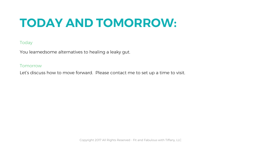## **TODAY AND TOMORROW:**

#### Today

You learnedsome alternatives to healing a leaky gut.

#### **Tomorrow**

Let's discuss how to move forward. Please contact me to set up a time to visit.